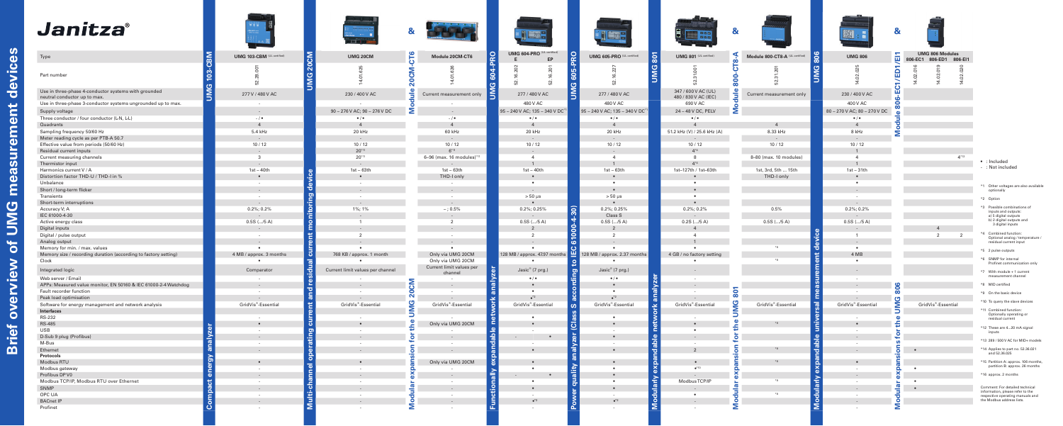







|                                          | UMG 604-PRO (UL certified)<br>EP<br>E |                                                              | UMG 605-PRO (UL certified)         |
|------------------------------------------|---------------------------------------|--------------------------------------------------------------|------------------------------------|
| JMG 604-PRO                              |                                       | <b>JMG 605-PRO</b>                                           |                                    |
|                                          | 52.16.202<br>52.16.201                |                                                              | 52.16.227                          |
|                                          |                                       |                                                              |                                    |
|                                          | 277 / 480 V AC                        |                                                              | 277 / 480 V AC                     |
|                                          | 480 V AC                              |                                                              | 480 V AC                           |
|                                          | 95 - 240 V AC; 135 - 340 V DC*1       |                                                              | 95 - 240 V AC; 135 - 340 V DC      |
|                                          | $\bullet$ / $\bullet$                 |                                                              | $\bullet$ / $\bullet$              |
|                                          | $\overline{\mathbf{4}}$               |                                                              | $\overline{4}$                     |
|                                          | 20 kHz<br>$\overline{a}$              |                                                              | 20 kHz<br>$\overline{a}$           |
|                                          | 10/12                                 |                                                              | 10/12                              |
|                                          | L,                                    |                                                              | $\frac{1}{2}$                      |
|                                          | 4                                     |                                                              | 4                                  |
|                                          | $\mathbf{1}$                          |                                                              | $\mathbf{1}$                       |
|                                          | $1st - 40th$<br>$\bullet$             |                                                              | $1st - 63th$<br>$\bullet$          |
|                                          |                                       |                                                              |                                    |
|                                          |                                       |                                                              |                                    |
|                                          | $> 50 \mu s$                          |                                                              | $> 50 \mu s$                       |
|                                          | $\bullet$                             |                                                              | $\bullet$                          |
|                                          | 0.2%; 0.25%                           |                                                              | 0.2%; 0.25%                        |
|                                          | $0.5S$ (/5 A)                         |                                                              | Class S<br>$0.5S$ (/ $5A$ )        |
|                                          | $\overline{2}$                        |                                                              | $\overline{2}$                     |
|                                          | $\overline{2}$                        |                                                              | $\overline{2}$                     |
|                                          |                                       |                                                              |                                    |
|                                          |                                       |                                                              |                                    |
|                                          | 128 MB / approx. 47.97 months         | Power quality analyzer (Class S according to IEC 61000-4-30) | 128 MB / approx. 2.37 months       |
|                                          | Jasic® (7 prg.)                       |                                                              | Jasic® (7 prg.)                    |
|                                          | $\bullet$ / $\bullet$                 |                                                              | $\sqrt{\bullet}$                   |
|                                          |                                       |                                                              |                                    |
|                                          |                                       |                                                              |                                    |
|                                          | $\bullet^*2$<br>GridVis®-Essential    |                                                              | $\bullet^*2$<br>GridVis®-Essential |
|                                          |                                       |                                                              |                                    |
|                                          | ٠                                     |                                                              | ٠                                  |
|                                          |                                       |                                                              |                                    |
|                                          |                                       |                                                              |                                    |
|                                          |                                       |                                                              |                                    |
|                                          | $\bullet$                             |                                                              | $\bullet$                          |
|                                          |                                       |                                                              |                                    |
|                                          | $\bullet$                             |                                                              |                                    |
|                                          |                                       |                                                              |                                    |
|                                          |                                       |                                                              |                                    |
|                                          |                                       |                                                              |                                    |
| Functionally expandable network analyzer |                                       |                                                              |                                    |
|                                          | $\bullet^*2$                          |                                                              | $\bullet^*2$                       |
|                                          |                                       |                                                              |                                    |
|                                          |                                       |                                                              |                                    |

# **Janitza**®

| Type                                                                                 | INB:<br>UMG 103-CBM (UL certified)   | $\mathsf{S}$<br>UMG 20CM         | <b>CT6</b><br>Module 20CM-CT6                        | UMG 604-PRO (UL certified)<br>EP  | $\circ$<br>UMG 605-PRO (UL certified) | $\overline{8}$<br>UMG 801 (UL certified)    | 806<br>Module 800-CT8-A (UL certified)<br>$\infty$ | UMG8                  |
|--------------------------------------------------------------------------------------|--------------------------------------|----------------------------------|------------------------------------------------------|-----------------------------------|---------------------------------------|---------------------------------------------|----------------------------------------------------|-----------------------|
| Part number                                                                          | ā<br>$\mathbf{S}$<br>28<br>$\approx$ |                                  | ΣS<br>Ñ                                              |                                   | K,<br>c<br><b>CO</b><br><b>C</b>      | ඏ<br>IΣ<br>ь                                | O                                                  |                       |
| Use in three-phase 4-conductor systems with grounded<br>neutral conductor up to max. | <b>UMG</b><br>277 V / 480 V AC       | 230 / 400 V AC                   | $\frac{e}{\overline{u}}$<br>Current measurement only | 277 / 480 V AC                    | Σ<br>277 / 480 V AC                   | 347 / 600 V AC (UL)<br>480 / 830 V AC (IEC) | Φ<br>Current measurement only                      | 230 / 400             |
| Use in three-phase 3-conductor systems ungrounded up to max.                         | $\sim$                               |                                  |                                                      | 480 V AC                          | 480 V AC                              | 690 V AC                                    | o                                                  | 400 V A               |
| Supply voltage                                                                       | $\sim$                               | 90 - 276 V AC; 90 - 276 V DC     | Σ                                                    | 95 - 240 V AC; 135 - 340 V DC*    | 95 - 240 V AC; 135 - 340 V DC*1       | 24 - 48 V DC, PELV                          | Σ                                                  | 80 - 270 V AC; 80     |
| Three conductor / four conductor (L-N, L-L)                                          | $-1$ $\bullet$                       | $\bullet$ / $\bullet$            | $-1$ $\bullet$                                       | $\bullet$ / $\bullet$             | $\bullet$ / $\bullet$                 | $\bullet$ / $\bullet$                       |                                                    | $\bullet$ / $\bullet$ |
| Quadrants                                                                            | $\overline{4}$                       | $\overline{4}$                   | $\overline{4}$                                       | $\overline{4}$                    | $\overline{4}$                        |                                             |                                                    | $\overline{4}$        |
| Sampling frequency 50/60 Hz                                                          | 5.4 kHz                              | 20 kHz                           | 60 kHz                                               | 20 kHz                            | 20 kHz                                | 51.2 kHz (V) / 25.6 kHz (A)                 | 8.33 kHz                                           | 8 kHz                 |
| Meter reading cycle as per PTB-A 50.7                                                | $\sim$                               | $\sim$                           | $\sim$                                               |                                   | $\overline{\phantom{a}}$              |                                             |                                                    | $\sim$                |
| Effective value from periods (50/60 Hz)                                              | 10/12                                | 10/12                            | 10/12                                                | 10/12                             | 10/12                                 | 10/12                                       | 10/12                                              | 10/1                  |
| Residual current inputs                                                              |                                      | $20^{*11}$                       | $6*11$                                               |                                   |                                       | $4^{*4}$                                    |                                                    |                       |
| Current measuring channels                                                           | $\overline{3}$                       | $20^{*11}$                       | 6-96 (max. 16 modules)*11                            | $\overline{4}$                    | $\overline{4}$                        | 8                                           | 8-80 (max. 10 modules)                             | $\overline{4}$        |
| Thermistor input                                                                     |                                      |                                  |                                                      |                                   |                                       | $4^{*4}$                                    |                                                    |                       |
| Harmonics current V / A                                                              | $1st - 40th$                         | $1st - 63th$                     | $1st - 63th$                                         | $1st - 40th$                      | $1st - 63th$                          | 1st-127th / 1st-63th                        | 1st, 3rd, 5th  15th                                | $1st - 3'$            |
| Distortion factor THD-U / THD-I in %                                                 |                                      | $\bullet$<br>FE                  | THD-I only                                           |                                   | $\bullet$                             |                                             | THD-I only                                         | $\bullet$             |
| Unbalance                                                                            | $\sim$                               | $\sim$<br>ŌΘ                     | $\sim$                                               | $\bullet$                         | $\bullet$                             | $\bullet$                                   |                                                    | $\bullet$             |
| Short / long-term flicker                                                            |                                      | ಾ                                |                                                      |                                   |                                       |                                             |                                                    | $\sim$ $-$            |
| Transients                                                                           | $\sim$ $-$                           | guin<br>$\sim$                   | $\sim$                                               | $> 50 \mu s$                      | $> 50 \mu s$                          | $\bullet$                                   |                                                    | $\sim 10^{-11}$       |
| Short-term interruptions                                                             | $\sim$                               |                                  | $\sim$                                               |                                   |                                       |                                             |                                                    | $\sim$ $-$            |
| Accuracy V; A                                                                        | $0.2\%; 0.2\%$                       | onito<br>1%; 1%                  | $-$ ; 0.5%                                           | 0.2%; 0.25%                       | $4 - 30$<br>0.2%; 0.25%               | $0.2\%; 0.2\%$                              | 0.5%                                               | $0.2\%;0.$            |
| IEC 61000-4-30                                                                       | $\sim$                               | $\sim$<br>$\overline{1}$         | $\overline{2}$                                       | $\sim$                            | Class S                               |                                             |                                                    | $\sim$ $-$            |
| Active energy class<br>Digital inputs                                                | $0.5S$ (/5 A)                        | Ě                                |                                                      | $0.5S$ (/5 A)                     | $0.5S$ (/5 A)<br>ó<br>2               | $0.2S$ (/5 A)                               | $0.5S$ (/5 A)                                      | $0.5S$ (/<br>$\sim$   |
| Digital / pulse output                                                               | $\sim$ $-$                           | $\overline{2}$                   | $\overline{a}$                                       | 2                                 | 6100<br>2                             | $\Delta$                                    |                                                    | $\overline{1}$        |
| Analog output                                                                        |                                      | rent                             |                                                      |                                   |                                       |                                             |                                                    | $\sim$ $-$            |
| Memory for min. / max. values                                                        | $\bullet$                            | $\bullet$                        | $\bullet$                                            | $\bullet$                         | $\mathbf C$<br>$\bullet$              |                                             | ਠ                                                  | $\bullet$             |
| Memory size / recording duration (according to factory setting)                      | 4 MB / approx. 3 months              | ೆಕ<br>768 KB / approx. 1 month   | Only via UMG 20CM                                    | 128 MB / approx. 47.97 months     | 凹<br>28 MB / approx. 2.37 months      | 4 GB / no factory setting                   | Ĕ                                                  | 4 ME                  |
| Clock                                                                                | $\bullet$                            |                                  | Only via UMG 20CM                                    | $\bullet$                         | $\bullet$<br>C                        | $\bullet$                                   |                                                    | $\bullet$             |
| Integrated logic                                                                     | Comparator                           | Current limit values per channel | Current limit values per<br>channel                  | Jasic® (7 prg.)                   | Jasic® (7 prg.)<br>ಾ<br>$\epsilon$    |                                             |                                                    | $\sim$ $-$            |
| Web server / Email                                                                   | $\sim$                               | യ                                |                                                      | $\bullet$ / $\bullet$             | 둳<br>$\bullet$ / $\bullet$            | $\sim$                                      |                                                    | $\sim 10^{-11}$       |
| APPs: Measured value monitor, EN 50160 & IEC 61000-2-4 Watchdog                      |                                      |                                  | Σō                                                   | ൹                                 | $\bullet$                             | alyz                                        |                                                    | $\sim 10^{-1}$        |
| Fault recorder function                                                              | $\sim$                               | ਠ<br>$\overline{a}$              | $\overline{20}$<br>$\sim$                            | $\bar{\mathfrak{a}}$<br>$\bullet$ | $\bullet$                             | $\overline{a}$                              |                                                    | $\sim 10^{-11}$       |
| Peak load optimisation                                                               |                                      |                                  |                                                      | $\bullet^*2$                      | $\bullet$ <sup>*2</sup>               | $\ddot{a}$                                  | œ                                                  | $\sim$                |
| Software for energy management and network analysis                                  | GridVis®-Essential                   | GridVis®-Essential               | σ<br>GridVis®-Essential                              | GridVis®-Essential<br>٥           | GridVis®-Essential<br><b>SC</b>       | GridVis®-Essential                          | Φ<br>GridVis®-Essential                            | GridVis®-Es           |
| Interfaces                                                                           |                                      | -5                               | ξ                                                    |                                   | u                                     | $\frac{1}{\sigma}$                          |                                                    |                       |
| <b>RS-232</b>                                                                        |                                      |                                  | യ                                                    | $\bullet$<br>$\mathbf{C}$         | $\bullet$<br>ю                        | $\overline{\phantom{a}}$                    | ø                                                  | $\sim$                |
| <b>RS-485</b>                                                                        |                                      | ್<br>$\bullet$                   | Only via UMG 20CM                                    | $\omega$                          | $\overline{O}$<br>$\bullet$           | net                                         | É                                                  | $\bullet$             |
| USB                                                                                  | $\sim$                               | ting                             | $\overline{\phantom{a}}$                             | 흐                                 | $\sim$                                | $\bullet$                                   | $\omega$                                           | $\sim 10^{-11}$       |
| D-Sub 9 plug (Profibus)                                                              | $\frac{8}{9}$                        |                                  | ិ                                                    | $\mathbf{\sigma}$                 | $\bullet$                             | ble                                         | $\overline{\epsilon}$                              | $\sim$                |
| M-Bus                                                                                | $\sim$ $-$<br>$\overline{a}$         | ್<br>$\sim$<br>-ă                | $\overline{a}$<br>ā                                  | ã                                 | $\sim$<br>శ<br>$\bullet$              | $\sim$<br>$\overline{d}$<br>$\overline{2}$  | $\frac{a}{d}$                                      | $\sim$ $-$<br>$\sim$  |
| Ethernet<br>Protocols                                                                |                                      |                                  |                                                      |                                   |                                       |                                             | ō                                                  |                       |
| Modbus RTU                                                                           | $\mathbf{5}$                         | $\circ$<br>$\bullet$             | Only via UMG 20CM                                    | δX                                | ൹<br>$\bullet$                        |                                             |                                                    | $\bullet$             |
| Modbus gateway                                                                       | $\sim$ $-$                           | $\overline{\bullet}$<br>$\sim$   |                                                      | $\bullet$                         | $\bullet$                             | $\circ$<br>$\bullet$ *10                    |                                                    | $\sim 10^{-11}$       |
| Profibus DP V0                                                                       | ia<br>a                              | -E                               |                                                      | ➤<br>$\bar{a}$                    | 嵩<br>$\bullet$                        | ്യ                                          | ø                                                  | $\sim$                |
| Modbus TCP/IP, Modbus RTU over Ethernet                                              | $\sim$                               | $\sim$                           |                                                      | $\bullet$                         | $\bullet$                             | arly<br>ModbusTCP/IP                        |                                                    | $\sim$ $-$            |
| SNMP                                                                                 |                                      | る                                | e<br>Lu                                              | $\circ$                           | $\overline{\sigma}$                   |                                             | ю                                                  | $\sim 10^{-1}$        |
| OPC UA                                                                               | $\sim$ $ \sim$                       | $\sim$                           | $\sim$                                               |                                   | $\sim$                                | $\bullet$                                   | Б<br>$\overline{\phantom{a}}$                      | $\sim$ 100 $\sim$     |
| <b>BACnet IP</b>                                                                     | ε                                    | <b>Fo</b>                        | ह                                                    | c<br>$^*2$                        | $\bullet^\ast{}^2$<br>о               | $\circ$                                     | ਨੂੰ<br>Ō                                           | $\sim$                |
| Profinet                                                                             |                                      |                                  |                                                      |                                   |                                       |                                             |                                                    |                       |



| Janitza®                                                                                     |                                      | ing a <b>final</b> policy        | <b>STAGES</b><br>$\mathbf{a}$          | $\frac{1}{2}$                              | <b>DE 20 H</b>                                   | <b>BB</b> 886<br><b>Book ROB</b>            | 8                               |                                 | 8                                                                            |                                                                      |
|----------------------------------------------------------------------------------------------|--------------------------------------|----------------------------------|----------------------------------------|--------------------------------------------|--------------------------------------------------|---------------------------------------------|---------------------------------|---------------------------------|------------------------------------------------------------------------------|----------------------------------------------------------------------|
| Type                                                                                         | <b>UMG 103-CBM</b> (UL certified)    | <b>UMG 20CM</b>                  | <u>م ا</u><br>Module 20CM-CT6          | <b>UMG 604-PRO (UL certified)</b><br>EP    | <b>UMG 605-PRO (UL certified)</b>                | UMG 801 (UL certified)<br>ò                 | Module 800-CT8-A (UL certified) | <b>UMG 806</b>                  | <b>UMG 806 Modules</b><br>$\overline{\mathbf{u}}$<br>806-EC1 806-ED1 806-EI1 |                                                                      |
| Part number                                                                                  |                                      |                                  | ë s                                    |                                            |                                                  |                                             |                                 |                                 |                                                                              |                                                                      |
| Use in three-phase 4-conductor systems with grounded                                         | 277 V / 480 V AC                     | 230 / 400 V AC                   | Current measurement only               | 277 / 480 V AC                             | 277 / 480 V AC                                   | 347 / 600 V AC (UL)<br>480 / 830 V AC (IEC) | Current measurement only        | 230 / 400 V AC                  |                                                                              |                                                                      |
| neutral conductor up to max.<br>Use in three-phase 3-conductor systems ungrounded up to max. | $\sim$ 100 $\sim$                    |                                  | $\sim$                                 | 480 V AC                                   | 480 V AC                                         | 690 V AC                                    |                                 | 400 V AC                        |                                                                              |                                                                      |
| Supply voltage                                                                               | $\sim$ $-$                           | 90 - 276 V AC; 90 - 276 V DC     | $\sim$ $ \sim$                         | 95 – 240 V AC; 135 – 340 V DC*             | 95 - 240 V AC; 135 - 340 V DC*1                  | 24 - 48 V DC, PELV                          | Σ                               | 80 - 270 V AC; 80 - 270 V DC    |                                                                              |                                                                      |
| Three conductor / four conductor (L-N, L-L)                                                  |                                      | $\bullet$ / $\bullet$            |                                        | $\bullet/ \bullet$                         |                                                  | $\bullet/ \bullet$                          |                                 | $\bullet$ / $\bullet$           |                                                                              |                                                                      |
| Quadrants                                                                                    | $-$ / $\bullet$<br>$\overline{4}$    | $\overline{4}$                   | $-$ / $\bullet$<br>$\overline{4}$      | $\overline{4}$                             | $\bullet/\bullet$<br>$\overline{4}$              | $\Delta$                                    | $\overline{4}$                  |                                 |                                                                              |                                                                      |
| Sampling frequency 50/60 Hz                                                                  | 5.4 kHz                              | 20 kHz                           | 60 kHz                                 | 20 kHz                                     | 20 kHz                                           | 51.2 kHz (V) / 25.6 kHz (A)                 | 8.33 kHz                        | 8 kHz                           |                                                                              |                                                                      |
| Meter reading cycle as per PTB-A 50.7                                                        | $\sim$ $ \sim$                       |                                  | $\sim$                                 | $\sim$ $-$                                 | $\sim$                                           |                                             |                                 |                                 |                                                                              |                                                                      |
| Effective value from periods (50/60 Hz)                                                      | 10/12                                | 10/12                            | 10/12                                  | 10/12                                      | 10/12                                            | 10/12                                       | 10/12                           | 10/12                           |                                                                              |                                                                      |
| Residual current inputs                                                                      | $\sim$ $ \sim$                       | $20^{*11}$                       | $6^{*11}$                              | $\sim$ $ \sim$                             | $\sim 10^{-10}$                                  | $4^{*4}$                                    |                                 |                                 |                                                                              |                                                                      |
| Current measuring channels                                                                   | $\overline{\mathbf{3}}$              | $20^{*11}$                       | 6-96 (max. 16 modules)*11              | $\overline{4}$                             | $\overline{4}$                                   | -8                                          | 8-80 (max. 10 modules)          |                                 | $4*12$                                                                       |                                                                      |
| Thermistor input                                                                             | $\sim 10^{-10}$                      | $\sim 100$                       |                                        |                                            | $\overline{1}$                                   | $4^{*4}$                                    |                                 |                                 |                                                                              | $\bullet$ : Included<br>- : Not included                             |
| Harmonics current V / A                                                                      | $1st - 40th$                         | $1st - 63th$                     | 1st – 63th                             | 1st – 40th                                 | 1st – 63th                                       | 1st-127th / 1st-63th                        | 1st, 3rd, 5th  15th             | $1st - 31th$                    |                                                                              |                                                                      |
| Distortion factor THD-U / THD-I in %                                                         | $\bullet$                            | $\bullet$                        | THD-I only                             | $\bullet$                                  | $\bullet$                                        |                                             | THD-I only                      |                                 |                                                                              |                                                                      |
| Unbalance                                                                                    | $\sim 100$ m $^{-1}$                 | $\sim$ $ \sim$                   | $\sim 10^{-11}$                        | $\bullet$                                  | $\bullet$                                        | $\bullet$                                   |                                 | $\bullet$                       |                                                                              | *1 Other voltages are also available                                 |
| Short / long-term flicker                                                                    |                                      | <b>D</b>                         | $\sim$                                 | $\sim$ $ \sim$                             | $\bullet$                                        |                                             |                                 |                                 |                                                                              | optionally                                                           |
| Transients<br>Short-term interruptions                                                       | $\sim 100$ m $^{-1}$                 | $\sim$ $-$                       | $\sim$ $-$                             | $> 50 \mu s$<br>$\bullet$                  | $> 50 \mu s$<br>$\bullet$                        | $\bullet$                                   |                                 |                                 |                                                                              | *2 Option                                                            |
| Accuracy V; A                                                                                | $\sim 100$<br>$0.2\%$ ; 0.2%         | 1%; 1%                           | $\sim$ $-$<br>$-$ ; 0.5%               | $0.2\%$ ; 0.25%                            | $0.2\%$ ; 0.25%                                  | $0.2\%;0.2\%$                               | 0.5%                            | $0.2\%; 0.2\%$                  |                                                                              | *3 Possible combinations of                                          |
| IEC 61000-4-30                                                                               | $\sim$ 100 $\sim$                    |                                  | $\sim$                                 | $\sim$                                     | Class S                                          |                                             |                                 |                                 |                                                                              | inputs and outputs:<br>a) 5 digital outputs                          |
| Active energy class                                                                          | $0.5S$ (/5 A)                        | $\overline{1}$                   | $\overline{2}$                         | $0.5S$ (/5 A)                              | $0.5S$ (/5 A)                                    | $0.2S$ (/5 A)                               | $0.5S$ (/5 A)                   | $0.5S$ (/5 A)                   |                                                                              | b) 2 digital outputs and                                             |
| Digital inputs                                                                               | $\sim 1000$                          |                                  | $\sim$                                 | $\overline{2}$                             | $\overline{2}$                                   |                                             |                                 |                                 |                                                                              | 3 digital inputs                                                     |
| Digital / pulse output                                                                       | $\sim 10^{-11}$                      | $\overline{2}$                   | $\sim$ $-$                             | 2                                          | 2                                                | $\overline{4}$                              |                                 |                                 | - 2                                                                          | Combined function:<br>Optional analog / temperature /                |
| Analog output                                                                                | $\sim 100$                           | $\sim$ $ \sim$                   | $\sim 100$                             | $\sim$ 100 $\pm$                           | <b>Contract</b>                                  |                                             |                                 |                                 |                                                                              | residual current input                                               |
| Memory for min. / max. values                                                                | $\bullet$                            |                                  | $\bullet$                              | $\bullet$                                  | $\bullet$                                        |                                             | *9                              | $\bullet$                       |                                                                              | *5 2 pulse outputs                                                   |
| Memory size / recording duration (according to factory setting)<br>Clock                     | 4 MB / approx. 3 months<br>$\bullet$ | 768 KB / approx. 1 month         | Only via UMG 20CM<br>Only via UMG 20CM | 128 MB / approx. 47.97 months<br>$\bullet$ | ≝ l<br>128 MB / approx. 2.37 months<br>$\bullet$ | 4 GB / no factory setting<br>$\bullet$      | $*9$                            | 4 MB<br>$\bullet$               |                                                                              | *6 SNMP for internal                                                 |
| Integrated logic                                                                             | Comparator                           | Current limit values per channel | Current limit values per               | Jasic <sup>®</sup> (7 prg.)                | Jasic® (7 prg.)                                  | $\sim$ $ \sim$                              |                                 |                                 |                                                                              | Profinet communication only                                          |
|                                                                                              |                                      |                                  | channel                                |                                            |                                                  |                                             |                                 |                                 |                                                                              | *7 With module + 1 current<br>measurement channel                    |
| Web server / Email<br>APPs: Measured value monitor, EN 50160 & IEC 61000-2-4 Watchdog        | $\sim 100$                           |                                  |                                        | $\bullet$ / $\bullet$<br>$\bullet$         | $\bullet$ / $\bullet$                            | $\sim 100$                                  |                                 | $\sim$ $ \sim$                  |                                                                              | *8 MID certified                                                     |
| Fault recorder function                                                                      | $\sim$ $ \sim$<br>$\sim$ $ \sim$     |                                  | $\sim$ $-$<br>c<br>$\sim$ $-$          | $\bullet$                                  | $\bullet$<br>$\bullet$                           | $\sim$ 100 $\pm$<br>$\sim 100$              |                                 | $\sim$ $-$<br>$\sim$ $-$        |                                                                              |                                                                      |
| Peak load optimisation                                                                       | $\sim$ $ \sim$                       | $\sim$ $-$                       | N.<br>$\sim$                           | $^*2$                                      | $^*2$                                            |                                             | $\infty$                        |                                 |                                                                              | *9 On the basic device                                               |
| Software for energy management and network analysis                                          | GridVis®-Essential                   | GridVis <sup>®</sup> -Essential  | GridVis®-Essential                     | GridVis <sup>®</sup> -Essential            | GridVis <sup>®</sup> -Essential                  | GridVis®-Essential                          | GridVis®-Essential              | GridVis®-Essential              | GridVis®-Essential                                                           | *10 To query the slave devices                                       |
| <b>Interfaces</b>                                                                            |                                      |                                  |                                        |                                            |                                                  |                                             |                                 |                                 |                                                                              | *11 Combined function:                                               |
| RS-232                                                                                       |                                      |                                  |                                        | $\bullet$                                  | $\bullet$                                        |                                             |                                 |                                 |                                                                              | Optionally operating or<br>residual current                          |
| <b>RS-485</b>                                                                                | $\bullet$                            | $\bullet$                        | Only via UMG 20CM                      | - 9<br>$\bullet$                           | $\bullet$                                        | $\bullet$                                   | $*9$                            | $\bullet$                       |                                                                              | *12 These are 420 mA signal                                          |
| USB                                                                                          |                                      |                                  |                                        |                                            |                                                  |                                             |                                 |                                 |                                                                              | ınputs                                                               |
| D-Sub 9 plug (Profibus)                                                                      | $\sim$                               | $\sim$                           | $\sim$ $-$<br>$\bullet$                | ഛ<br>$\bullet$<br>- ത                      | $\bullet$                                        | ം<br>$\sim 100$                             | $\circ$                         | $\frac{1}{2}$<br>$\sim$ $ \sim$ | ءِ                                                                           | *13 289 / 500 V AC for MID+ models                                   |
| M-Bus                                                                                        | $\sim 100$                           | $\sim 100$                       | $\sim$ 100 $\sim$                      | $\sim$ 100 $\mu$                           | $\sim$ $-$                                       | $\sim 100$                                  |                                 | $\sim$                          |                                                                              |                                                                      |
| Ethernet                                                                                     | $\sim 100$                           | <b>Contract Contract</b>         | $\sim 100$                             | $\bullet$                                  | $\bullet$                                        | $\overline{2}$                              | $*9$                            | $\sim 100$                      | $\bullet$<br>$\circ$                                                         | *14 Applies to part no. 52.36.021<br>and 52.36.025                   |
| Protocols<br>Modbus RTU                                                                      | ு<br>$\bullet$                       | $\bullet$                        | Only via UMG 20CM                      | $\bullet$                                  | $\bullet$                                        | $\bullet$                                   | $*9$                            | $\bullet$                       | - 53                                                                         | *15 Partition A: approx. 106 months,                                 |
| Modbus gateway                                                                               | $\sim$ $-$                           | $\sim$ $-$                       | $\sim$ $-$                             | $\bullet$                                  | $\bullet$                                        | $\bullet$ *10                               |                                 | $\sim$ 100 $\mu$                | $\bullet$                                                                    | partition B: approx. 26 months                                       |
| Profibus DP V0                                                                               | $\sim 100$                           | $\sim$ $ \sim$                   | $\sim 100$                             | $\bullet$<br><b>Contract Contract</b>      | $\bullet$                                        | $\sim 100$                                  |                                 | $\sim 100$                      |                                                                              | *16 approx. 2 months                                                 |
| Modbus TCP/IP, Modbus RTU over Ethernet                                                      | $\sim$ $ \sim$                       | $\sim 100$                       | $\sim$ $-$                             | $\bullet$                                  | $\bullet$                                        | ModbusTCP/IP                                | $*9$                            | $\sim$ $ \sim$                  | $\bullet$                                                                    |                                                                      |
| SNMP                                                                                         | $\sim 10^{-10}$                      | $\sim$ $ \sim$                   | $\sim 100$                             | o<br>$\bullet$                             | $\bullet$                                        | $\sim 100$                                  |                                 | $\sim 100$                      | $\bullet$                                                                    | Comment: For detailed technical                                      |
| OPC UA                                                                                       | $\sim$ $ \sim$                       | $\sim 100$                       | $\sim$ $-$                             | $\sim 10^{-11}$                            | $\sim 100$ m $^{-1}$                             | $\bullet$                                   | $*9$                            | $\sim$ 100 $\mu$                |                                                                              | information, please refer to the<br>respective operating manuals and |
| <b>BACnet IP</b>                                                                             | $\sim$ $ \sim$<br>$\circ$            | $\sim$ 100 $\sim$                | $\sim$ $-$                             | $\bullet^*2$                               | $\bullet^*2$                                     | <b>Contract</b>                             |                                 | $\sim 100$                      | O                                                                            | the Modbus address lists.                                            |
| Profinet                                                                                     | <b>Contract</b>                      | $\sim$ $ \sim$                   | $\sim$ $-$                             | $\sim 100$                                 | $\sim$ $-$                                       | $\sim 100$                                  |                                 | $\sim$                          |                                                                              |                                                                      |